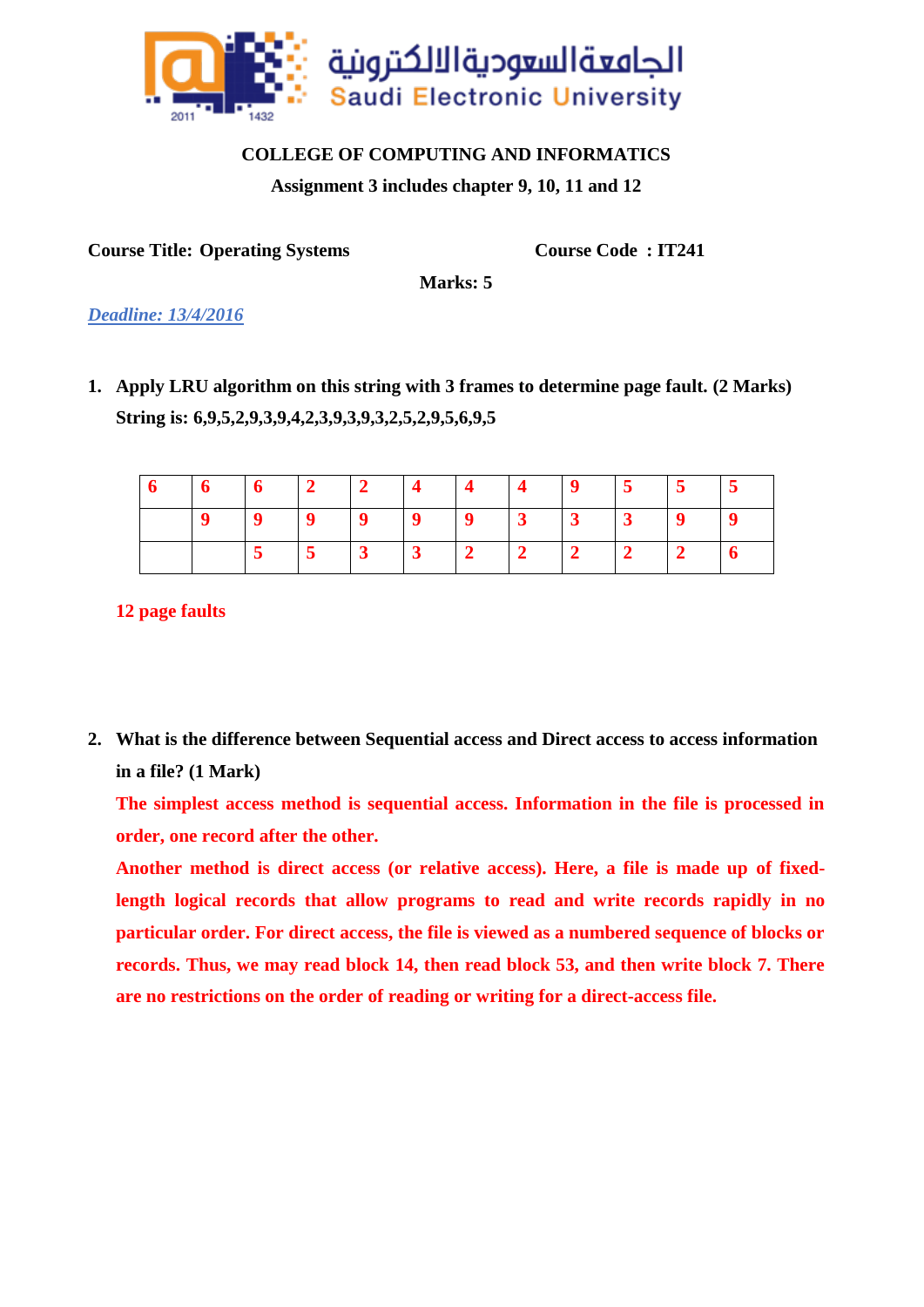

## **COLLEGE OF COMPUTING AND INFORMATICS**

**Assignment 3 includes chapter 9, 10, 11 and 12**

**Course Title: Operating Systems Course Code : IT241**

**Marks: 5**

*Deadline: 13/4/2016*

**1. Apply LRU algorithm on this string with 3 frames to determine page fault. (2 Marks) String is: 6,9,5,2,9,3,9,4,2,3,9,3,9,3,2,5,2,9,5,6,9,5**

|  |  |  |  | $5 \t 5$ |  |
|--|--|--|--|----------|--|
|  |  |  |  |          |  |
|  |  |  |  |          |  |

**12 page faults**

**2. What is the difference between Sequential access and Direct access to access information in a file? (1 Mark)**

**The simplest access method is sequential access. Information in the file is processed in order, one record after the other.**

**Another method is direct access (or relative access). Here, a file is made up of fixedlength logical records that allow programs to read and write records rapidly in no particular order. For direct access, the file is viewed as a numbered sequence of blocks or records. Thus, we may read block 14, then read block 53, and then write block 7. There are no restrictions on the order of reading or writing for a direct-access file.**